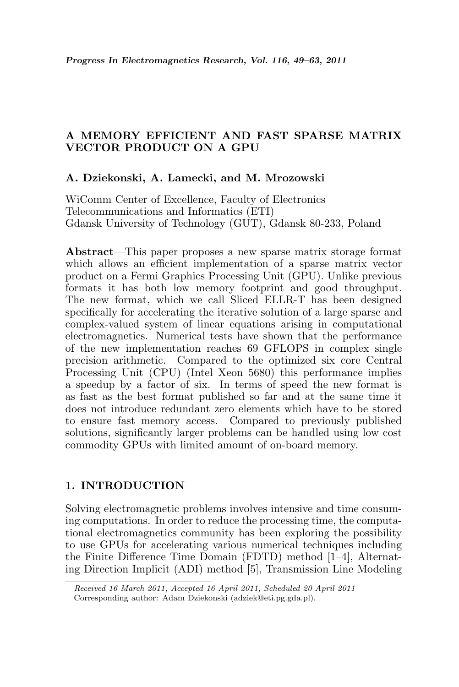# A MEMORY EFFICIENT AND FAST SPARSE MATRIX VECTOR PRODUCT ON A GPU

# A. Dziekonski, A. Lamecki, and M. Mrozowski

WiComm Center of Excellence, Faculty of Electronics Telecommunications and Informatics (ETI) Gdansk University of Technology (GUT), Gdansk 80-233, Poland

Abstract—This paper proposes a new sparse matrix storage format which allows an efficient implementation of a sparse matrix vector product on a Fermi Graphics Processing Unit (GPU). Unlike previous formats it has both low memory footprint and good throughput. The new format, which we call Sliced ELLR-T has been designed specifically for accelerating the iterative solution of a large sparse and complex-valued system of linear equations arising in computational electromagnetics. Numerical tests have shown that the performance of the new implementation reaches 69 GFLOPS in complex single precision arithmetic. Compared to the optimized six core Central Processing Unit (CPU) (Intel Xeon 5680) this performance implies a speedup by a factor of six. In terms of speed the new format is as fast as the best format published so far and at the same time it does not introduce redundant zero elements which have to be stored to ensure fast memory access. Compared to previously published solutions, significantly larger problems can be handled using low cost commodity GPUs with limited amount of on-board memory.

#### 1. INTRODUCTION

Solving electromagnetic problems involves intensive and time consuming computations. In order to reduce the processing time, the computational electromagnetics community has been exploring the possibility to use GPUs for accelerating various numerical techniques including the Finite Difference Time Domain (FDTD) method [1–4], Alternating Direction Implicit (ADI) method [5], Transmission Line Modeling

Received 16 March 2011, Accepted 16 April 2011, Scheduled 20 April 2011 Corresponding author: Adam Dziekonski (adziek@eti.pg.gda.pl).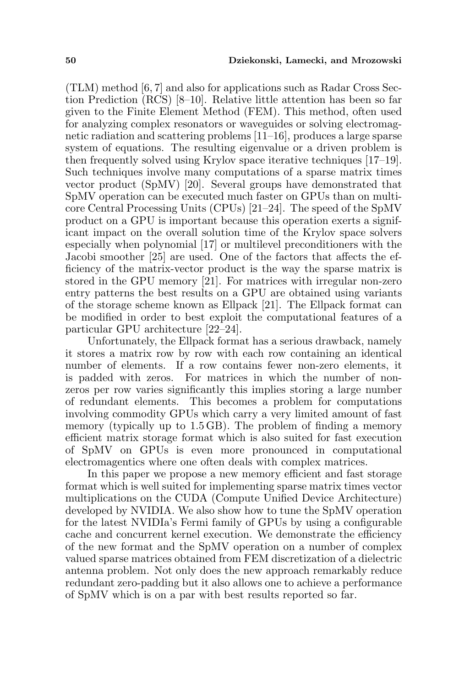(TLM) method [6, 7] and also for applications such as Radar Cross Section Prediction (RCS) [8–10]. Relative little attention has been so far given to the Finite Element Method (FEM). This method, often used for analyzing complex resonators or waveguides or solving electromagnetic radiation and scattering problems [11–16], produces a large sparse system of equations. The resulting eigenvalue or a driven problem is then frequently solved using Krylov space iterative techniques [17–19]. Such techniques involve many computations of a sparse matrix times vector product (SpMV) [20]. Several groups have demonstrated that SpMV operation can be executed much faster on GPUs than on multicore Central Processing Units (CPUs) [21–24]. The speed of the SpMV product on a GPU is important because this operation exerts a significant impact on the overall solution time of the Krylov space solvers especially when polynomial [17] or multilevel preconditioners with the Jacobi smoother [25] are used. One of the factors that affects the efficiency of the matrix-vector product is the way the sparse matrix is stored in the GPU memory [21]. For matrices with irregular non-zero entry patterns the best results on a GPU are obtained using variants of the storage scheme known as Ellpack [21]. The Ellpack format can be modified in order to best exploit the computational features of a particular GPU architecture [22–24].

Unfortunately, the Ellpack format has a serious drawback, namely it stores a matrix row by row with each row containing an identical number of elements. If a row contains fewer non-zero elements, it is padded with zeros. For matrices in which the number of nonzeros per row varies significantly this implies storing a large number of redundant elements. This becomes a problem for computations involving commodity GPUs which carry a very limited amount of fast memory (typically up to 1.5 GB). The problem of finding a memory efficient matrix storage format which is also suited for fast execution of SpMV on GPUs is even more pronounced in computational electromagentics where one often deals with complex matrices.

In this paper we propose a new memory efficient and fast storage format which is well suited for implementing sparse matrix times vector multiplications on the CUDA (Compute Unified Device Architecture) developed by NVIDIA. We also show how to tune the SpMV operation for the latest NVIDIa's Fermi family of GPUs by using a configurable cache and concurrent kernel execution. We demonstrate the efficiency of the new format and the SpMV operation on a number of complex valued sparse matrices obtained from FEM discretization of a dielectric antenna problem. Not only does the new approach remarkably reduce redundant zero-padding but it also allows one to achieve a performance of SpMV which is on a par with best results reported so far.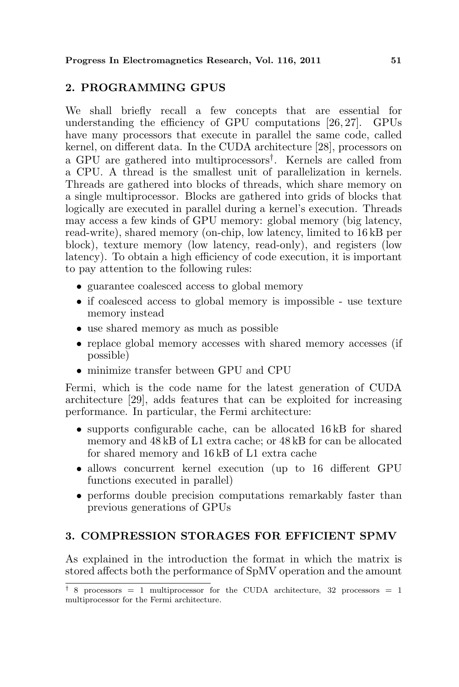# 2. PROGRAMMING GPUS

We shall briefly recall a few concepts that are essential for understanding the efficiency of GPU computations [26, 27]. GPUs have many processors that execute in parallel the same code, called kernel, on different data. In the CUDA architecture [28], processors on a GPU are gathered into multiprocessors† . Kernels are called from a CPU. A thread is the smallest unit of parallelization in kernels. Threads are gathered into blocks of threads, which share memory on a single multiprocessor. Blocks are gathered into grids of blocks that logically are executed in parallel during a kernel's execution. Threads may access a few kinds of GPU memory: global memory (big latency, read-write), shared memory (on-chip, low latency, limited to 16 kB per block), texture memory (low latency, read-only), and registers (low latency). To obtain a high efficiency of code execution, it is important to pay attention to the following rules:

- guarantee coalesced access to global memory
- if coalesced access to global memory is impossible use texture memory instead
- use shared memory as much as possible
- replace global memory accesses with shared memory accesses (if possible)
- minimize transfer between GPU and CPU

Fermi, which is the code name for the latest generation of CUDA architecture [29], adds features that can be exploited for increasing performance. In particular, the Fermi architecture:

- supports configurable cache, can be allocated 16 kB for shared memory and 48 kB of L1 extra cache; or 48 kB for can be allocated for shared memory and 16 kB of L1 extra cache
- allows concurrent kernel execution (up to 16 different GPU functions executed in parallel)
- performs double precision computations remarkably faster than previous generations of GPUs

## 3. COMPRESSION STORAGES FOR EFFICIENT SPMV

As explained in the introduction the format in which the matrix is stored affects both the performance of SpMV operation and the amount

<sup>&</sup>lt;sup> $\dagger$ </sup> 8 processors = 1 multiprocessor for the CUDA architecture, 32 processors = 1 multiprocessor for the Fermi architecture.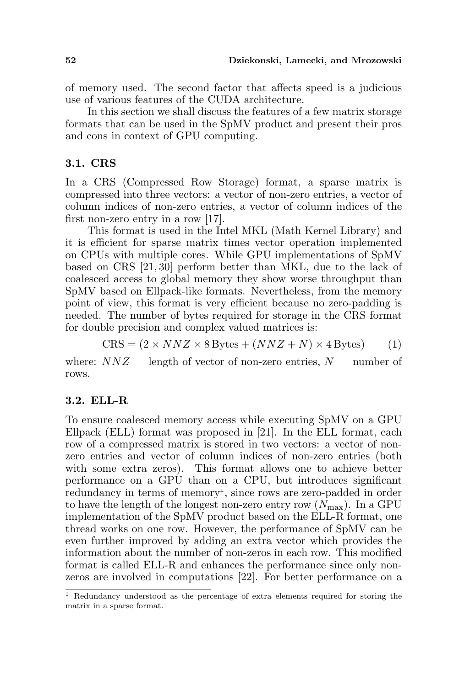of memory used. The second factor that affects speed is a judicious use of various features of the CUDA architecture.

In this section we shall discuss the features of a few matrix storage formats that can be used in the SpMV product and present their pros and cons in context of GPU computing.

### 3.1. CRS

In a CRS (Compressed Row Storage) format, a sparse matrix is compressed into three vectors: a vector of non-zero entries, a vector of column indices of non-zero entries, a vector of column indices of the first non-zero entry in a row [17].

This format is used in the Intel MKL (Math Kernel Library) and it is efficient for sparse matrix times vector operation implemented on CPUs with multiple cores. While GPU implementations of SpMV based on CRS [21, 30] perform better than MKL, due to the lack of coalesced access to global memory they show worse throughput than SpMV based on Ellpack-like formats. Nevertheless, from the memory point of view, this format is very efficient because no zero-padding is needed. The number of bytes required for storage in the CRS format for double precision and complex valued matrices is:

 $CRS = (2 \times NNZ \times 8 \text{Bytes} + (NNZ + N) \times 4 \text{Bytes})$  (1)

where:  $NNZ$  — length of vector of non-zero entries,  $N$  — number of rows.

#### 3.2. ELL-R

To ensure coalesced memory access while executing SpMV on a GPU Ellpack (ELL) format was proposed in [21]. In the ELL format, each row of a compressed matrix is stored in two vectors: a vector of nonzero entries and vector of column indices of non-zero entries (both with some extra zeros). This format allows one to achieve better performance on a GPU than on a CPU, but introduces significant redundancy in terms of memory<sup>‡</sup>, since rows are zero-padded in order to have the length of the longest non-zero entry row  $(N_{\text{max}})$ . In a GPU implementation of the SpMV product based on the ELL-R format, one thread works on one row. However, the performance of SpMV can be even further improved by adding an extra vector which provides the information about the number of non-zeros in each row. This modified format is called ELL-R and enhances the performance since only nonzeros are involved in computations [22]. For better performance on a

<sup>‡</sup> Redundancy understood as the percentage of extra elements required for storing the matrix in a sparse format.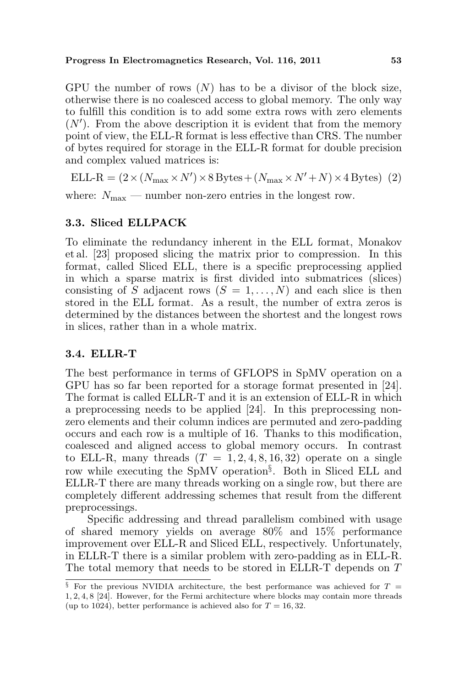#### Progress In Electromagnetics Research, Vol. 116, 2011 53

GPU the number of rows  $(N)$  has to be a divisor of the block size, otherwise there is no coalesced access to global memory. The only way to fulfill this condition is to add some extra rows with zero elements  $(N')$ . From the above description it is evident that from the memory point of view, the ELL-R format is less effective than CRS. The number of bytes required for storage in the ELL-R format for double precision and complex valued matrices is:

ELL-R =  $(2 \times (N_{\text{max}} \times N') \times 8 \text{Bytes} + (N_{\text{max}} \times N' + N) \times 4 \text{Bytes})$  (2)

where:  $N_{\text{max}}$  — number non-zero entries in the longest row.

### 3.3. Sliced ELLPACK

To eliminate the redundancy inherent in the ELL format, Monakov et al. [23] proposed slicing the matrix prior to compression. In this format, called Sliced ELL, there is a specific preprocessing applied in which a sparse matrix is first divided into submatrices (slices) consisting of S adjacent rows  $(S = 1, \ldots, N)$  and each slice is then stored in the ELL format. As a result, the number of extra zeros is determined by the distances between the shortest and the longest rows in slices, rather than in a whole matrix.

#### 3.4. ELLR-T

The best performance in terms of GFLOPS in SpMV operation on a GPU has so far been reported for a storage format presented in [24]. The format is called ELLR-T and it is an extension of ELL-R in which a preprocessing needs to be applied [24]. In this preprocessing nonzero elements and their column indices are permuted and zero-padding occurs and each row is a multiple of 16. Thanks to this modification, coalesced and aligned access to global memory occurs. In contrast to ELL-R, many threads  $(T = 1, 2, 4, 8, 16, 32)$  operate on a single row while executing the SpMV operation§ . Both in Sliced ELL and ELLR-T there are many threads working on a single row, but there are completely different addressing schemes that result from the different preprocessings.

Specific addressing and thread parallelism combined with usage of shared memory yields on average 80% and 15% performance improvement over ELL-R and Sliced ELL, respectively. Unfortunately, in ELLR-T there is a similar problem with zero-padding as in ELL-R. The total memory that needs to be stored in ELLR-T depends on T

 $§$  For the previous NVIDIA architecture, the best performance was achieved for  $T =$ 1, 2, 4, 8 [24]. However, for the Fermi architecture where blocks may contain more threads (up to 1024), better performance is achieved also for  $T = 16, 32$ .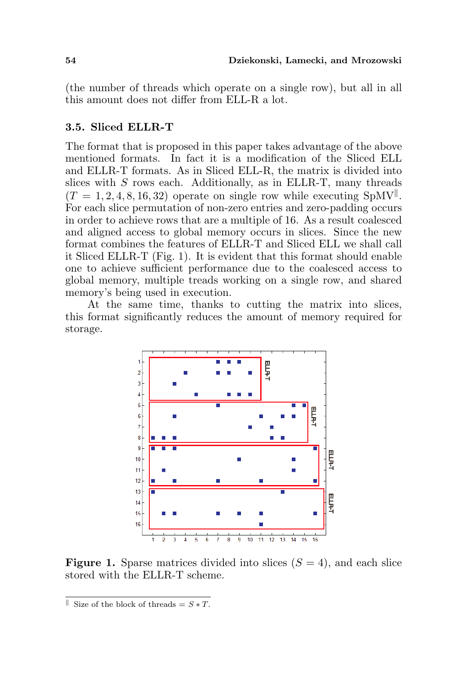(the number of threads which operate on a single row), but all in all this amount does not differ from ELL-R a lot.

#### 3.5. Sliced ELLR-T

The format that is proposed in this paper takes advantage of the above mentioned formats. In fact it is a modification of the Sliced ELL and ELLR-T formats. As in Sliced ELL-R, the matrix is divided into slices with  $S$  rows each. Additionally, as in ELLR-T, many threads  $(T = 1, 2, 4, 8, 16, 32)$  operate on single row while executing SpMV<sup>||</sup>. For each slice permutation of non-zero entries and zero-padding occurs in order to achieve rows that are a multiple of 16. As a result coalesced and aligned access to global memory occurs in slices. Since the new format combines the features of ELLR-T and Sliced ELL we shall call it Sliced ELLR-T (Fig. 1). It is evident that this format should enable one to achieve sufficient performance due to the coalesced access to global memory, multiple treads working on a single row, and shared memory's being used in execution.

At the same time, thanks to cutting the matrix into slices, this format significantly reduces the amount of memory required for storage.



**Figure 1.** Sparse matrices divided into slices  $(S = 4)$ , and each slice stored with the ELLR-T scheme.

 $\parallel$  Size of the block of threads = S ∗ T.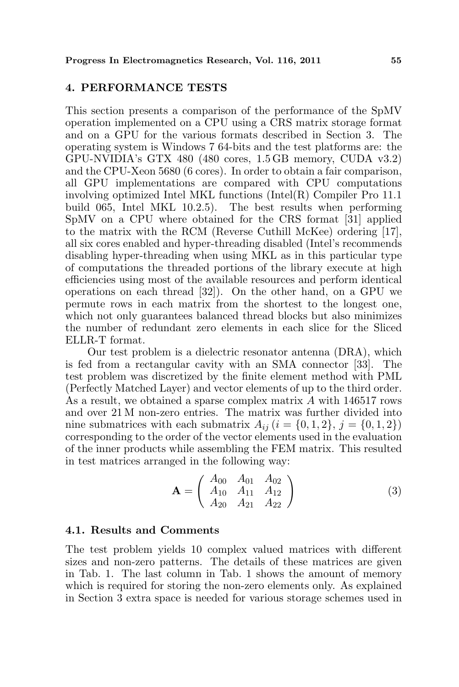#### 4. PERFORMANCE TESTS

This section presents a comparison of the performance of the SpMV operation implemented on a CPU using a CRS matrix storage format and on a GPU for the various formats described in Section 3. The operating system is Windows 7 64-bits and the test platforms are: the GPU-NVIDIA's GTX 480 (480 cores, 1.5 GB memory, CUDA v3.2) and the CPU-Xeon 5680 (6 cores). In order to obtain a fair comparison, all GPU implementations are compared with CPU computations involving optimized Intel MKL functions (Intel(R) Compiler Pro 11.1 build 065, Intel MKL 10.2.5). The best results when performing SpMV on a CPU where obtained for the CRS format [31] applied to the matrix with the RCM (Reverse Cuthill McKee) ordering [17], all six cores enabled and hyper-threading disabled (Intel's recommends disabling hyper-threading when using MKL as in this particular type of computations the threaded portions of the library execute at high efficiencies using most of the available resources and perform identical operations on each thread [32]). On the other hand, on a GPU we permute rows in each matrix from the shortest to the longest one, which not only guarantees balanced thread blocks but also minimizes the number of redundant zero elements in each slice for the Sliced ELLR-T format.

Our test problem is a dielectric resonator antenna (DRA), which is fed from a rectangular cavity with an SMA connector [33]. The test problem was discretized by the finite element method with PML (Perfectly Matched Layer) and vector elements of up to the third order. As a result, we obtained a sparse complex matrix A with 146517 rows and over 21 M non-zero entries. The matrix was further divided into nine submatrices with each submatrix  $A_{ij}$  ( $i = \{0, 1, 2\}, j = \{0, 1, 2\}$ ) corresponding to the order of the vector elements used in the evaluation of the inner products while assembling the FEM matrix. This resulted in test matrices arranged in the following way:

$$
\mathbf{A} = \left( \begin{array}{ccc} A_{00} & A_{01} & A_{02} \\ A_{10} & A_{11} & A_{12} \\ A_{20} & A_{21} & A_{22} \end{array} \right) \tag{3}
$$

### 4.1. Results and Comments

The test problem yields 10 complex valued matrices with different sizes and non-zero patterns. The details of these matrices are given in Tab. 1. The last column in Tab. 1 shows the amount of memory which is required for storing the non-zero elements only. As explained in Section 3 extra space is needed for various storage schemes used in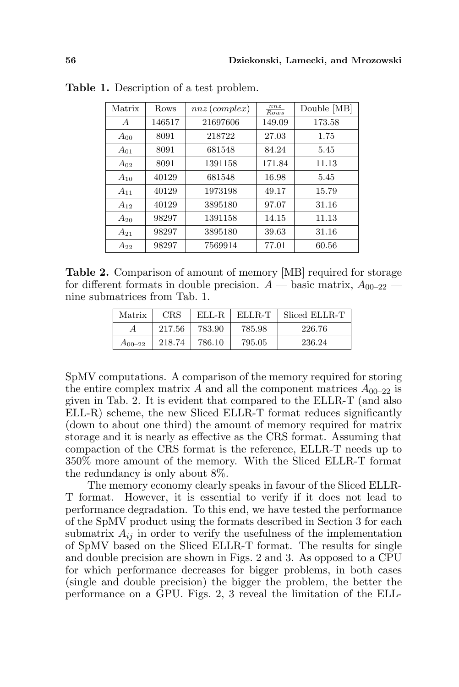| Matrix         | Rows   | $nnz$ (complex) | nnz<br>Rows | Double [MB] |
|----------------|--------|-----------------|-------------|-------------|
| $\overline{A}$ | 146517 | 21697606        | 149.09      | 173.58      |
| $A_{00}$       | 8091   | 218722          | 27.03       | 1.75        |
| $A_{01}$       | 8091   | 681548          | 84.24       | 5.45        |
| $A_{02}$       | 8091   | 1391158         | 171.84      | 11.13       |
| $A_{10}$       | 40129  | 681548          | 16.98       | 5.45        |
| $A_{11}$       | 40129  | 1973198         | 49.17       | 15.79       |
| $A_{12}$       | 40129  | 3895180         | 97.07       | 31.16       |
| $A_{20}$       | 98297  | 1391158         | 14.15       | 11.13       |
| $A_{21}$       | 98297  | 3895180         | 39.63       | 31.16       |
| $A_{22}$       | 98297  | 7569914         | 77.01       | 60.56       |

Table 1. Description of a test problem.

Table 2. Comparison of amount of memory [MB] required for storage for different formats in double precision.  $A$  — basic matrix,  $A_{00-22}$  nine submatrices from Tab. 1.

| Matrix      | <b>CRS</b> | ELL-R  | ELLR-T | Sliced ELLR-T |
|-------------|------------|--------|--------|---------------|
|             | 217.56     | 783.90 | 785.98 | 226.76        |
| $A_{00-22}$ | 218.74     | 786.10 | 795.05 | 236.24        |

SpMV computations. A comparison of the memory required for storing the entire complex matrix A and all the component matrices  $A_{00-22}$  is given in Tab. 2. It is evident that compared to the ELLR-T (and also ELL-R) scheme, the new Sliced ELLR-T format reduces significantly (down to about one third) the amount of memory required for matrix storage and it is nearly as effective as the CRS format. Assuming that compaction of the CRS format is the reference, ELLR-T needs up to 350% more amount of the memory. With the Sliced ELLR-T format the redundancy is only about 8%.

The memory economy clearly speaks in favour of the Sliced ELLR-T format. However, it is essential to verify if it does not lead to performance degradation. To this end, we have tested the performance of the SpMV product using the formats described in Section 3 for each submatrix  $A_{ij}$  in order to verify the usefulness of the implementation of SpMV based on the Sliced ELLR-T format. The results for single and double precision are shown in Figs. 2 and 3. As opposed to a CPU for which performance decreases for bigger problems, in both cases (single and double precision) the bigger the problem, the better the performance on a GPU. Figs. 2, 3 reveal the limitation of the ELL-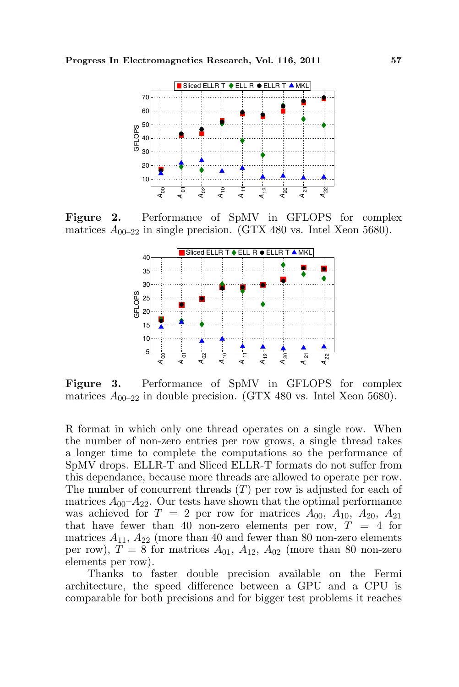

Figure 2. Performance of SpMV in GFLOPS for complex matrices  $A_{00-22}$  in single precision. (GTX 480 vs. Intel Xeon 5680).



Figure 3. Performance of SpMV in GFLOPS for complex matrices  $A_{00-22}$  in double precision. (GTX 480 vs. Intel Xeon 5680).

R format in which only one thread operates on a single row. When the number of non-zero entries per row grows, a single thread takes a longer time to complete the computations so the performance of SpMV drops. ELLR-T and Sliced ELLR-T formats do not suffer from this dependance, because more threads are allowed to operate per row. The number of concurrent threads  $(T)$  per row is adjusted for each of matrices  $A_{00}$ – $A_{22}$ . Our tests have shown that the optimal performance was achieved for  $T = 2$  per row for matrices  $A_{00}$ ,  $A_{10}$ ,  $A_{20}$ ,  $A_{21}$ that have fewer than 40 non-zero elements per row,  $T = 4$  for matrices  $A_{11}$ ,  $A_{22}$  (more than 40 and fewer than 80 non-zero elements per row),  $T = 8$  for matrices  $A_{01}$ ,  $A_{12}$ ,  $A_{02}$  (more than 80 non-zero elements per row).

Thanks to faster double precision available on the Fermi architecture, the speed difference between a GPU and a CPU is comparable for both precisions and for bigger test problems it reaches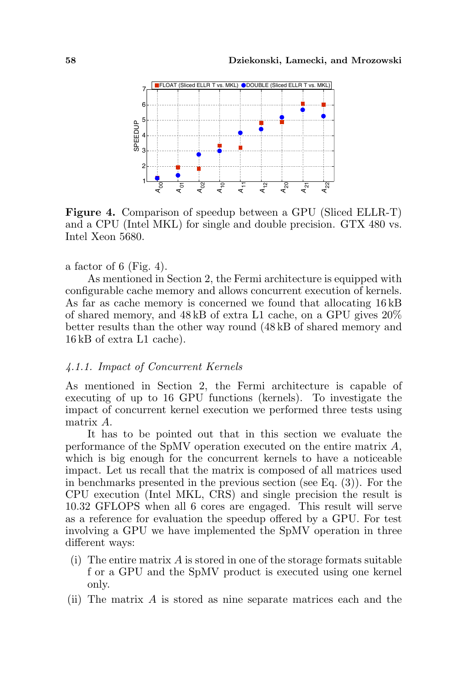

Figure 4. Comparison of speedup between a GPU (Sliced ELLR-T) and a CPU (Intel MKL) for single and double precision. GTX 480 vs. Intel Xeon 5680.

a factor of 6 (Fig. 4).

As mentioned in Section 2, the Fermi architecture is equipped with configurable cache memory and allows concurrent execution of kernels. As far as cache memory is concerned we found that allocating 16 kB of shared memory, and 48 kB of extra L1 cache, on a GPU gives 20% better results than the other way round (48 kB of shared memory and 16 kB of extra L1 cache).

#### 4.1.1. Impact of Concurrent Kernels

As mentioned in Section 2, the Fermi architecture is capable of executing of up to 16 GPU functions (kernels). To investigate the impact of concurrent kernel execution we performed three tests using matrix A.

It has to be pointed out that in this section we evaluate the performance of the SpMV operation executed on the entire matrix A, which is big enough for the concurrent kernels to have a noticeable impact. Let us recall that the matrix is composed of all matrices used in benchmarks presented in the previous section (see Eq. (3)). For the CPU execution (Intel MKL, CRS) and single precision the result is 10.32 GFLOPS when all 6 cores are engaged. This result will serve as a reference for evaluation the speedup offered by a GPU. For test involving a GPU we have implemented the SpMV operation in three different ways:

- (i) The entire matrix  $\vec{A}$  is stored in one of the storage formats suitable f or a GPU and the SpMV product is executed using one kernel only.
- (ii) The matrix A is stored as nine separate matrices each and the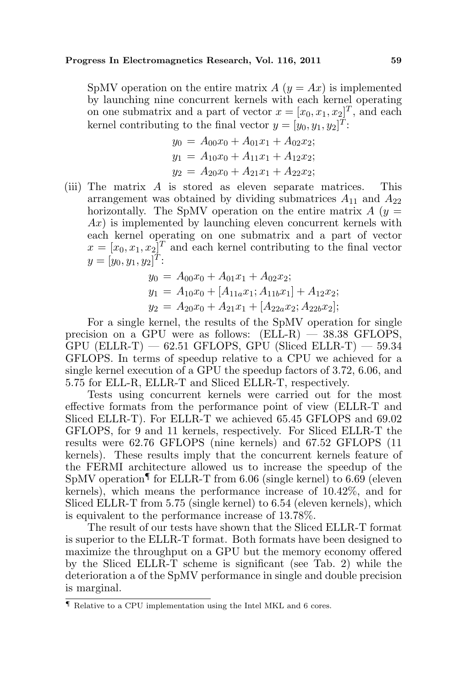SpMV operation on the entire matrix  $A(y = Ax)$  is implemented by launching nine concurrent kernels with each kernel operating on one submatrix and a part of vector  $x = [x_0, x_1, x_2]^T$ , and each kernel contributing to the final vector  $y = [y_0, y_1, y_2]^T$ :

$$
y_0 = A_{00}x_0 + A_{01}x_1 + A_{02}x_2;
$$
  
\n
$$
y_1 = A_{10}x_0 + A_{11}x_1 + A_{12}x_2;
$$
  
\n
$$
y_2 = A_{20}x_0 + A_{21}x_1 + A_{22}x_2;
$$

(iii) The matrix A is stored as eleven separate matrices. This arrangement was obtained by dividing submatrices  $A_{11}$  and  $A_{22}$ horizontally. The SpMV operation on the entire matrix  $A(y =$  $Ax$ ) is implemented by launching eleven concurrent kernels with each kernel operating on one submatrix and a part of vector  $x = [x_0, x_1, x_2]^T$  and each kernel contributing to the final vector  $y=[y_0, y_1, y_2]^T$ :

$$
y_0 = A_{00}x_0 + A_{01}x_1 + A_{02}x_2;
$$
  
\n
$$
y_1 = A_{10}x_0 + [A_{11a}x_1; A_{11b}x_1] + A_{12}x_2;
$$
  
\n
$$
y_2 = A_{20}x_0 + A_{21}x_1 + [A_{22a}x_2; A_{22b}x_2];
$$

For a single kernel, the results of the SpMV operation for single precision on a GPU were as follows:  $(ELL-R)$  — 38.38 GFLOPS,  $GPU$  (ELLR-T)  $-62.51$  GFLOPS, GPU (Sliced ELLR-T)  $-59.34$ GFLOPS. In terms of speedup relative to a CPU we achieved for a single kernel execution of a GPU the speedup factors of 3.72, 6.06, and 5.75 for ELL-R, ELLR-T and Sliced ELLR-T, respectively.

Tests using concurrent kernels were carried out for the most effective formats from the performance point of view (ELLR-T and Sliced ELLR-T). For ELLR-T we achieved 65.45 GFLOPS and 69.02 GFLOPS, for 9 and 11 kernels, respectively. For Sliced ELLR-T the results were 62.76 GFLOPS (nine kernels) and 67.52 GFLOPS (11 kernels). These results imply that the concurrent kernels feature of the FERMI architecture allowed us to increase the speedup of the SpMV operation  $\sim$  for ELLR-T from 6.06 (single kernel) to 6.69 (eleven kernels), which means the performance increase of 10.42%, and for Sliced ELLR-T from 5.75 (single kernel) to 6.54 (eleven kernels), which is equivalent to the performance increase of 13.78%.

The result of our tests have shown that the Sliced ELLR-T format is superior to the ELLR-T format. Both formats have been designed to maximize the throughput on a GPU but the memory economy offered by the Sliced ELLR-T scheme is significant (see Tab. 2) while the deterioration a of the SpMV performance in single and double precision is marginal.

<sup>¶</sup> Relative to a CPU implementation using the Intel MKL and 6 cores.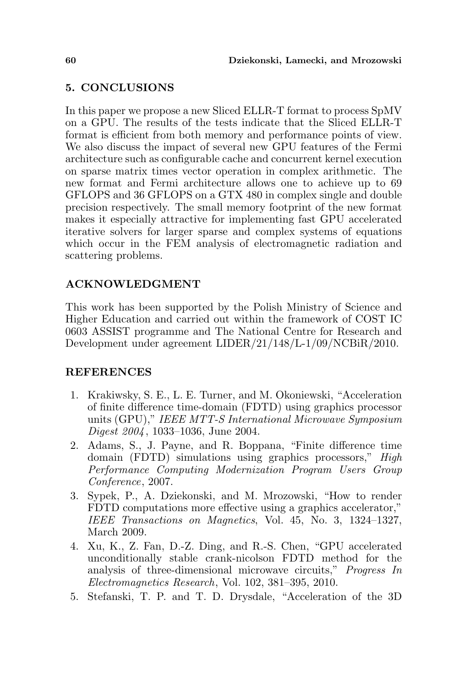# 5. CONCLUSIONS

In this paper we propose a new Sliced ELLR-T format to process SpMV on a GPU. The results of the tests indicate that the Sliced ELLR-T format is efficient from both memory and performance points of view. We also discuss the impact of several new GPU features of the Fermi architecture such as configurable cache and concurrent kernel execution on sparse matrix times vector operation in complex arithmetic. The new format and Fermi architecture allows one to achieve up to 69 GFLOPS and 36 GFLOPS on a GTX 480 in complex single and double precision respectively. The small memory footprint of the new format makes it especially attractive for implementing fast GPU accelerated iterative solvers for larger sparse and complex systems of equations which occur in the FEM analysis of electromagnetic radiation and scattering problems.

# ACKNOWLEDGMENT

This work has been supported by the Polish Ministry of Science and Higher Education and carried out within the framework of COST IC 0603 ASSIST programme and The National Centre for Research and Development under agreement LIDER/21/148/L-1/09/NCBiR/2010.

## REFERENCES

- 1. Krakiwsky, S. E., L. E. Turner, and M. Okoniewski, "Acceleration of finite difference time-domain (FDTD) using graphics processor units (GPU)," IEEE MTT-S International Microwave Symposium Digest 2004 , 1033–1036, June 2004.
- 2. Adams, S., J. Payne, and R. Boppana, "Finite difference time domain (FDTD) simulations using graphics processors," High Performance Computing Modernization Program Users Group Conference, 2007.
- 3. Sypek, P., A. Dziekonski, and M. Mrozowski, "How to render FDTD computations more effective using a graphics accelerator," IEEE Transactions on Magnetics, Vol. 45, No. 3, 1324–1327, March 2009.
- 4. Xu, K., Z. Fan, D.-Z. Ding, and R.-S. Chen, "GPU accelerated unconditionally stable crank-nicolson FDTD method for the analysis of three-dimensional microwave circuits," Progress In Electromagnetics Research, Vol. 102, 381–395, 2010.
- 5. Stefanski, T. P. and T. D. Drysdale, "Acceleration of the 3D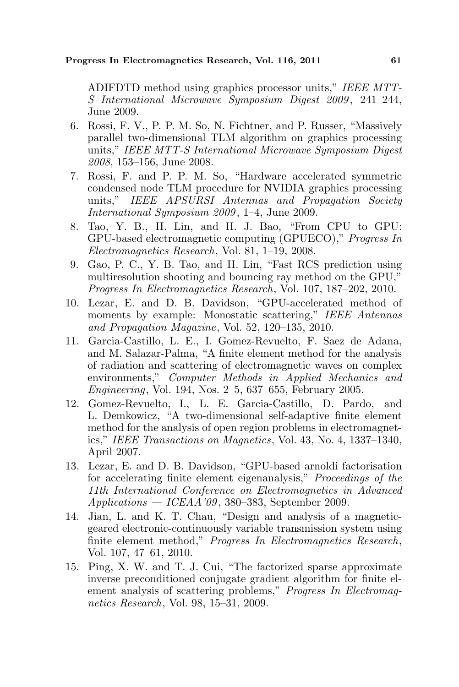ADIFDTD method using graphics processor units," IEEE MTT-S International Microwave Symposium Digest 2009 , 241–244, June 2009.

- 6. Rossi, F. V., P. P. M. So, N. Fichtner, and P. Russer, "Massively parallel two-dimensional TLM algorithm on graphics processing units," IEEE MTT-S International Microwave Symposium Digest 2008, 153–156, June 2008.
- 7. Rossi, F. and P. P. M. So, "Hardware accelerated symmetric condensed node TLM procedure for NVIDIA graphics processing units," IEEE APSURSI Antennas and Propagation Society International Symposium 2009 , 1–4, June 2009.
- 8. Tao, Y. B., H. Lin, and H. J. Bao, "From CPU to GPU: GPU-based electromagnetic computing (GPUECO)," Progress In Electromagnetics Research, Vol. 81, 1–19, 2008.
- 9. Gao, P. C., Y. B. Tao, and H. Lin, "Fast RCS prediction using multiresolution shooting and bouncing ray method on the GPU," Progress In Electromagnetics Research, Vol. 107, 187–202, 2010.
- 10. Lezar, E. and D. B. Davidson, "GPU-accelerated method of moments by example: Monostatic scattering," IEEE Antennas and Propagation Magazine, Vol. 52, 120–135, 2010.
- 11. Garcia-Castillo, L. E., I. Gomez-Revuelto, F. Saez de Adana, and M. Salazar-Palma, "A finite element method for the analysis of radiation and scattering of electromagnetic waves on complex environments," Computer Methods in Applied Mechanics and Engineering, Vol. 194, Nos. 2–5, 637–655, February 2005.
- 12. Gomez-Revuelto, I., L. E. Garcia-Castillo, D. Pardo, and L. Demkowicz, "A two-dimensional self-adaptive finite element method for the analysis of open region problems in electromagnetics," IEEE Transactions on Magnetics, Vol. 43, No. 4, 1337–1340, April 2007.
- 13. Lezar, E. and D. B. Davidson, "GPU-based arnoldi factorisation for accelerating finite element eigenanalysis," Proceedings of the 11th International Conference on Electromagnetics in Advanced  $Applications - ICEAA'09, 380-383, September 2009.$
- 14. Jian, L. and K. T. Chau, "Design and analysis of a magneticgeared electronic-continuously variable transmission system using finite element method," Progress In Electromagnetics Research, Vol. 107, 47–61, 2010.
- 15. Ping, X. W. and T. J. Cui, "The factorized sparse approximate inverse preconditioned conjugate gradient algorithm for finite element analysis of scattering problems," Progress In Electromagnetics Research, Vol. 98, 15–31, 2009.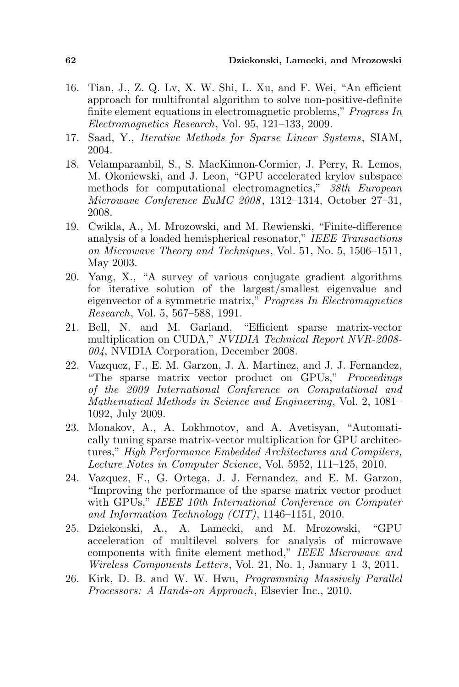- 16. Tian, J., Z. Q. Lv, X. W. Shi, L. Xu, and F. Wei, "An efficient approach for multifrontal algorithm to solve non-positive-definite finite element equations in electromagnetic problems," Progress In Electromagnetics Research, Vol. 95, 121–133, 2009.
- 17. Saad, Y., Iterative Methods for Sparse Linear Systems, SIAM, 2004.
- 18. Velamparambil, S., S. MacKinnon-Cormier, J. Perry, R. Lemos, M. Okoniewski, and J. Leon, "GPU accelerated krylov subspace methods for computational electromagnetics," 38th European Microwave Conference EuMC 2008 , 1312–1314, October 27–31, 2008.
- 19. Cwikla, A., M. Mrozowski, and M. Rewienski, "Finite-difference analysis of a loaded hemispherical resonator," IEEE Transactions on Microwave Theory and Techniques, Vol. 51, No. 5, 1506–1511, May 2003.
- 20. Yang, X., "A survey of various conjugate gradient algorithms for iterative solution of the largest/smallest eigenvalue and eigenvector of a symmetric matrix," Progress In Electromagnetics Research, Vol. 5, 567–588, 1991.
- 21. Bell, N. and M. Garland, "Efficient sparse matrix-vector multiplication on CUDA," NVIDIA Technical Report NVR-2008- 004, NVIDIA Corporation, December 2008.
- 22. Vazquez, F., E. M. Garzon, J. A. Martinez, and J. J. Fernandez, "The sparse matrix vector product on GPUs," Proceedings of the 2009 International Conference on Computational and Mathematical Methods in Science and Engineering, Vol. 2, 1081– 1092, July 2009.
- 23. Monakov, A., A. Lokhmotov, and A. Avetisyan, "Automatically tuning sparse matrix-vector multiplication for GPU architectures," High Performance Embedded Architectures and Compilers, Lecture Notes in Computer Science, Vol. 5952, 111–125, 2010.
- 24. Vazquez, F., G. Ortega, J. J. Fernandez, and E. M. Garzon, "Improving the performance of the sparse matrix vector product with GPUs," IEEE 10th International Conference on Computer and Information Technology (CIT), 1146–1151, 2010.
- 25. Dziekonski, A., A. Lamecki, and M. Mrozowski, "GPU acceleration of multilevel solvers for analysis of microwave components with finite element method," IEEE Microwave and Wireless Components Letters, Vol. 21, No. 1, January 1–3, 2011.
- 26. Kirk, D. B. and W. W. Hwu, Programming Massively Parallel Processors: A Hands-on Approach, Elsevier Inc., 2010.